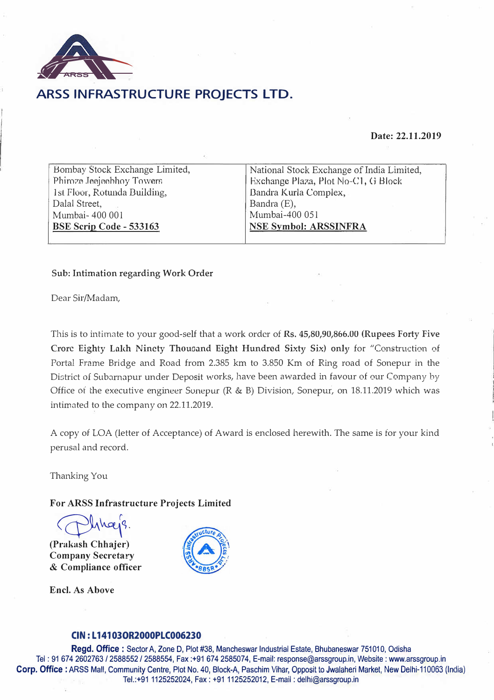

## **ARSS INFRASTRUCTURE PROJECTS LTD.**

### **Date: 22.11.2019**

| Bombay Stock Exchange Limited, |
|--------------------------------|
| Phiroze Jeejeebhoy Towers      |
| 1st Floor, Rotunda Building,   |
| Dalal Street,                  |
| Mumbai-400 001                 |
| BSE Scrip Code - 533163        |

National Stock Exchange of India Limited, Hxchange Plaza, Plot No-C1, G Block Dandra Kurla Complex, Bandra (E), Mumbai-400 051 **NSE Symbol: ARSSINFRA** 

### **Sub: Intimation regarding Work Order**

Dear Sir/Madam,

This is to intimate to your good-self that a work order of **Rs. 45,80,90,866.00 (Rupees Forty Five Crorc Eighty Laich Ninety Thouoand Eight Hundred Sixty Six) only** for "Construction of Portal Frame Bridge and Road from 2.385 km to 3.850 Km of Ring road of Sonepur in the District of Subarnapur under Deposit works, have been awarded in favour of our Company by Office of the executive engineer Sonepur ( $R \& B$ ) Division, Sonepur, on 18.11.2019 which was intimated to the company on 22.11.2019.

A copy of LOA (letter of Acceptance) of Award is enclosed herewith. The same is for your kind perusal and record.

Thanking You

**For ARSS Infrastructure Projects Limited** 

 $\frac{1}{2}$ 

**(Prakash Chhajer) Company Secretary**  & **Compliance officer** 

**Encl. As Above** 



### **CIN: L 14103OR2000PLC006230**

**Regd. Office :** Sector A, Zone D, Plot #38, Mancheswar Industrial Estate, Bhubaneswar 751010, Odisha Tel : ?1 674 2602763 / 2588552 / 2588554, Fax :+91 674 2585074, E-mail: response@arssgroup.in, Website: www.arssgroup.in **Corp. Office:** ARSS Mall, Community Centre, Plot No. 40, Block-A, Paschim Vihar, Opposit to Jwalaheri Market, New Delhi-110063 (India) · . Tel.:+91 1125252024, Fax: +91 1125252012, E-mail: delhi@arssgroup. in